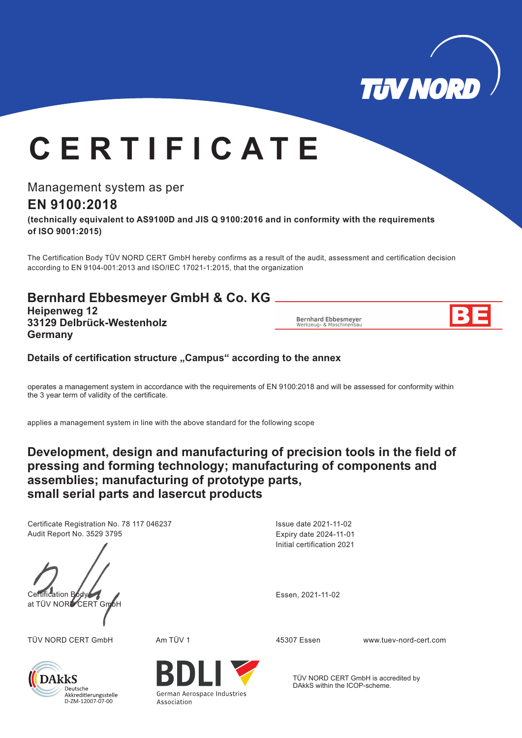

# **C E R T I F I C A T E**

Management system as per

# **EN 9100:2018**

**(technically equivalent to AS9100D and JIS Q 9100:2016 and in conformity with the requirements of ISO 9001:2015)**

The Certification Body TÜV NORD CERT GmbH hereby confirms as a result of the audit, assessment and certification decision according to EN 9104-001:2013 and ISO/IEC 17021-1:2015, that the organization

## **Bernhard Ebbesmeyer GmbH & Co. KG**

**Heipenweg 12 33129 Delbrück-Westenholz Germany**

**Bernhard Ebbesmeyer** 

#### Details of certification structure "Campus" according to the annex

operates a management system in accordance with the requirements of EN 9100:2018 and will be assessed for conformity within the 3 year term of validity of the certificate.

applies a management system in line with the above standard for the following scope

## **Development, design and manufacturing of precision tools in the field of pressing and forming technology; manufacturing of components and assemblies; manufacturing of prototype parts, small serial parts and lasercut products**

Certificate Registration No. 78 117 046237 Audit Report No. 3529 3795



TÜV NORD CERT GmbH Am TÜV 1 www.tuev-nord-cert.com 45307 Essen



Association

Initial certification 2021 Expiry date 2024-11-01 Issue date 2021-11-02

TÜV NORD CERT GmbH is accredited by DAkkS within the ICOP-scheme.

German Aerospace Industries